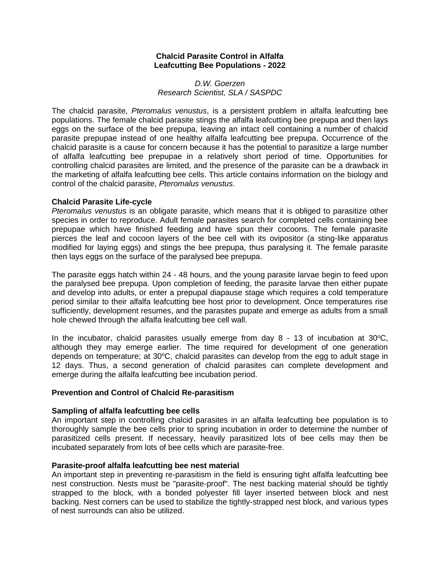## **Chalcid Parasite Control in Alfalfa Leafcutting Bee Populations - 2022**

## *D.W. Goerzen Research Scientist, SLA / SASPDC*

The chalcid parasite, *Pteromalus venustus*, is a persistent problem in alfalfa leafcutting bee populations. The female chalcid parasite stings the alfalfa leafcutting bee prepupa and then lays eggs on the surface of the bee prepupa, leaving an intact cell containing a number of chalcid parasite prepupae instead of one healthy alfalfa leafcutting bee prepupa. Occurrence of the chalcid parasite is a cause for concern because it has the potential to parasitize a large number of alfalfa leafcutting bee prepupae in a relatively short period of time. Opportunities for controlling chalcid parasites are limited, and the presence of the parasite can be a drawback in the marketing of alfalfa leafcutting bee cells. This article contains information on the biology and control of the chalcid parasite, *Pteromalus venustus*.

### **Chalcid Parasite Life-cycle**

*Pteromalus venustus* is an obligate parasite, which means that it is obliged to parasitize other species in order to reproduce. Adult female parasites search for completed cells containing bee prepupae which have finished feeding and have spun their cocoons. The female parasite pierces the leaf and cocoon layers of the bee cell with its ovipositor (a sting-like apparatus modified for laying eggs) and stings the bee prepupa, thus paralysing it. The female parasite then lays eggs on the surface of the paralysed bee prepupa.

The parasite eggs hatch within 24 - 48 hours, and the young parasite larvae begin to feed upon the paralysed bee prepupa. Upon completion of feeding, the parasite larvae then either pupate and develop into adults, or enter a prepupal diapause stage which requires a cold temperature period similar to their alfalfa leafcutting bee host prior to development. Once temperatures rise sufficiently, development resumes, and the parasites pupate and emerge as adults from a small hole chewed through the alfalfa leafcutting bee cell wall.

In the incubator, chalcid parasites usually emerge from day  $8 - 13$  of incubation at  $30^{\circ}$ C, although they may emerge earlier. The time required for development of one generation depends on temperature; at 30°C, chalcid parasites can develop from the egg to adult stage in 12 days. Thus, a second generation of chalcid parasites can complete development and emerge during the alfalfa leafcutting bee incubation period.

# **Prevention and Control of Chalcid Re-parasitism**

# **Sampling of alfalfa leafcutting bee cells**

An important step in controlling chalcid parasites in an alfalfa leafcutting bee population is to thoroughly sample the bee cells prior to spring incubation in order to determine the number of parasitized cells present. If necessary, heavily parasitized lots of bee cells may then be incubated separately from lots of bee cells which are parasite-free.

### **Parasite-proof alfalfa leafcutting bee nest material**

An important step in preventing re-parasitism in the field is ensuring tight alfalfa leafcutting bee nest construction. Nests must be "parasite-proof". The nest backing material should be tightly strapped to the block, with a bonded polyester fill layer inserted between block and nest backing. Nest corners can be used to stabilize the tightly-strapped nest block, and various types of nest surrounds can also be utilized.